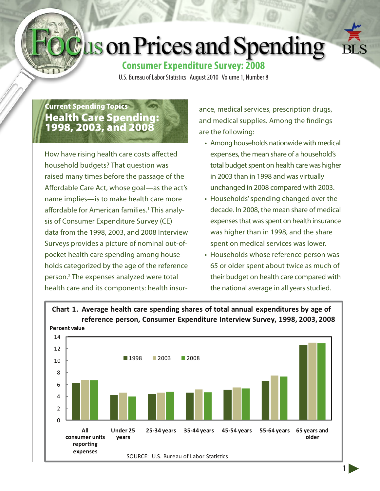# **Jus on Prices and Spending**



1

# **Consumer Expenditure Survey: 2008**

U.S. Bureau of Labor Statistics August 2010 Volume 1, Number 8

# Current Spending Topics Health Care Spending: 1998, 2003, and 2008

How have rising health care costs affected household budgets? That question was raised many times before the passage of the Affordable Care Act, whose goal—as the act's name implies—is to make health care more affordable for American families.<sup>1</sup> This analysis of Consumer Expenditure Survey (CE) data from the 1998, 2003, and 2008 Interview Surveys provides a picture of nominal out-ofpocket health care spending among households categorized by the age of the reference person.2 The expenses analyzed were total health care and its components: health insurance, medical services, prescription drugs, and medical supplies. Among the findings are the following:

- Among households nationwide with medical expenses, the mean share of a household's total budget spent on health care was higher in 2003 than in 1998 and was virtually unchanged in 2008 compared with 2003.
- Households' spending changed over the decade. In 2008, the mean share of medical expenses that was spent on health insurance was higher than in 1998, and the share spent on medical services was lower.
- Households whose reference person was 65 or older spent about twice as much of their budget on health care compared with the national average in all years studied.

## **Chart 1. Average health care spending shares of total annual expenditures by age of reference person, Consumer Expenditure Interview Survey, 1998, 2003, 2008**

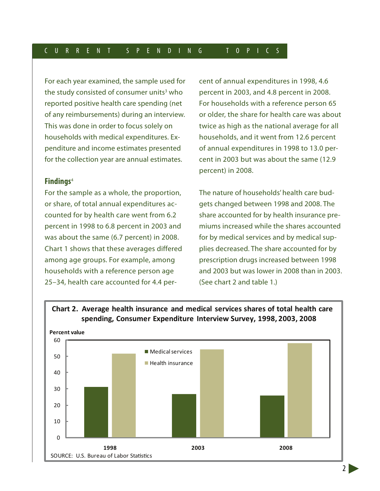For each year examined, the sample used for the study consisted of consumer units<sup>3</sup> who reported positive health care spending (net of any reimbursements) during an interview. This was done in order to focus solely on households with medical expenditures. Expenditure and income estimates presented for the collection year are annual estimates.

#### **Findings**<sup>4</sup>

For the sample as a whole, the proportion, or share, of total annual expenditures accounted for by health care went from 6.2 percent in 1998 to 6.8 percent in 2003 and was about the same (6.7 percent) in 2008. Chart 1 shows that these averages differed among age groups. For example, among households with a reference person age 25–34, health care accounted for 4.4 percent of annual expenditures in 1998, 4.6 percent in 2003, and 4.8 percent in 2008. For households with a reference person 65 or older, the share for health care was about twice as high as the national average for all households, and it went from 12.6 percent of annual expenditures in 1998 to 13.0 percent in 2003 but was about the same (12.9 percent) in 2008.

The nature of households' health care budgets changed between 1998 and 2008. The share accounted for by health insurance premiums increased while the shares accounted for by medical services and by medical supplies decreased. The share accounted for by prescription drugs increased between 1998 and 2003 but was lower in 2008 than in 2003. (See chart 2 and table 1.)



# **Chart 2. Average health insurance and medical services shares of total health care**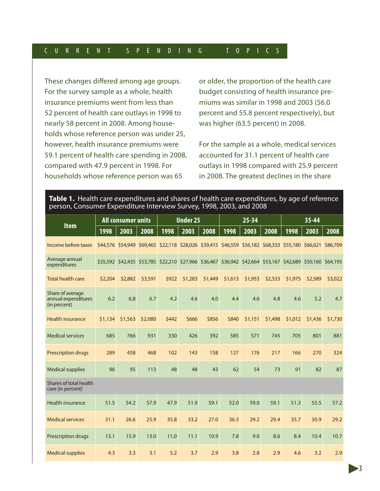#### C U R R E N T S P E N D I N G T O P I C S

These changes differed among age groups. For the survey sample as a whole, health insurance premiums went from less than 52 percent of health care outlays in 1998 to nearly 58 percent in 2008. Among households whose reference person was under 25, however, health insurance premiums were 59.1 percent of health care spending in 2008, compared with 47.9 percent in 1998. For households whose reference person was 65

or older, the proportion of the health care budget consisting of health insurance premiums was similar in 1998 and 2003 (56.0 percent and 55.8 percent respectively), but was higher (63.5 percent) in 2008.

For the sample as a whole, medical services accounted for 31.1 percent of health care outlays in 1998 compared with 25.9 percent in 2008. The greatest declines in the share

| person, Consumer Expenditure interview Survey, 1998, 2003, and 2008 |                           |         |         |                 |                                                                                                             |         |           |         |         |           |                            |         |  |
|---------------------------------------------------------------------|---------------------------|---------|---------|-----------------|-------------------------------------------------------------------------------------------------------------|---------|-----------|---------|---------|-----------|----------------------------|---------|--|
| <b>Item</b>                                                         | <b>All consumer units</b> |         |         | <b>Under 25</b> |                                                                                                             |         | $25 - 34$ |         |         | $35 - 44$ |                            |         |  |
|                                                                     | 1998                      | 2003    | 2008    | 1998            | 2003                                                                                                        | 2008    | 1998      | 2003    | 2008    | 1998      | 2003                       | 2008    |  |
| Income before taxes                                                 |                           |         |         |                 | \$44,576 \$54,949 \$69,465 \$22,118 \$28,026 \$39,415 \$46,559 \$56,182 \$68,333 \$55,180 \$66,621 \$86,709 |         |           |         |         |           |                            |         |  |
| Average annual<br>expenditures                                      |                           |         |         |                 | \$35,592 \$42,435 \$53,785 \$22,210 \$27,966 \$36,467 \$36,942 \$42,664 \$53,167                            |         |           |         |         |           | \$42,689 \$50,160 \$64,195 |         |  |
| <b>Total health care</b>                                            | \$2,204                   | \$2,882 | \$3,591 | \$922           | \$1,283                                                                                                     | \$1,449 | \$1,613   | \$1,953 | \$2,533 | \$1,975   | \$2,589                    | \$3,022 |  |
| Share of average<br>annual expenditures<br>(in percent)             | 6.2                       | 6.8     | 6.7     | 4.2             | 4.6                                                                                                         | 4.0     | 4.4       | 4.6     | 4.8     | 4.6       | 5.2                        | 4.7     |  |
| <b>Health insurance</b>                                             | \$1,134                   | \$1,563 | \$2,080 | \$442           | \$666                                                                                                       | \$856   | \$840     | \$1,151 | \$1,498 | \$1,012   | \$1,436                    | \$1,730 |  |
| <b>Medical services</b>                                             | 685                       | 766     | 931     | 330             | 426                                                                                                         | 392     | 585       | 571     | 745     | 705       | 801                        | 881     |  |
| <b>Prescription drugs</b>                                           | 289                       | 458     | 468     | 102             | 143                                                                                                         | 158     | 127       | 176     | 217     | 166       | 270                        | 324     |  |
| <b>Medical supplies</b>                                             | 96                        | 95      | 113     | 48              | 48                                                                                                          | 43      | 62        | 54      | 73      | 91        | 82                         | 87      |  |
| Shares of total health<br>care (in percent)                         |                           |         |         |                 |                                                                                                             |         |           |         |         |           |                            |         |  |
| Health insurance                                                    | 51.5                      | 54.2    | 57.9    | 47.9            | 51.9                                                                                                        | 59.1    | 52.0      | 59.0    | 59.1    | 51.3      | 55.5                       | 57.2    |  |
| <b>Medical services</b>                                             | 31.1                      | 26.6    | 25.9    | 35.8            | 33.2                                                                                                        | 27.0    | 36.3      | 29.2    | 29.4    | 35.7      | 30.9                       | 29.2    |  |
| Prescription drugs                                                  | 13.1                      | 15.9    | 13.0    | 11.0            | 11.1                                                                                                        | 10.9    | 7.8       | 9.0     | 8.6     | 8.4       | 10.4                       | 10.7    |  |
| <b>Medical supplies</b>                                             | 4.3                       | 3.3     | 3.1     | 5.2             | 3.7                                                                                                         | 2.9     | 3.8       | 2.8     | 2.9     | 4.6       | 3.2                        | 2.9     |  |

#### **Table 1.** Health care expenditures and shares of health care expenditures, by age of reference person, Consumer Expenditure Interview Survey, 1998, 2003, and 2008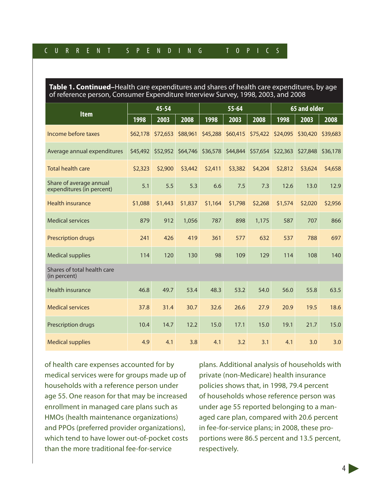#### C U R R E N T S P E N D I N G T O P I C S

**Table 1. Continued–**Health care expenditures and shares of health care expenditures, by age of reference person, Consumer Expenditure Interview Survey, 1998, 2003, and 2008

|                                                      |          | 45-54    |          |          | $55 - 64$ |          | 65 and older      |          |          |  |
|------------------------------------------------------|----------|----------|----------|----------|-----------|----------|-------------------|----------|----------|--|
| <b>Item</b>                                          | 1998     | 2003     | 2008     | 1998     | 2003      | 2008     | 1998              | 2003     | 2008     |  |
| Income before taxes                                  | \$62,178 | \$72,653 | \$88,961 | \$45,288 | \$60,415  |          | \$75,422 \$24,095 | \$30,420 | \$39,683 |  |
| Average annual expenditures                          | \$45,492 | \$52,952 | \$64,746 | \$36,578 | \$44,844  | \$57,654 | \$22,363          | \$27,848 | \$36,178 |  |
| <b>Total health care</b>                             | \$2,323  | \$2,900  | \$3,442  | \$2,411  | \$3,382   | \$4,204  | \$2,812           | \$3,624  | \$4,658  |  |
| Share of average annual<br>expenditures (in percent) | 5.1      | 5.5      | 5.3      | 6.6      | 7.5       | 7.3      | 12.6              | 13.0     | 12.9     |  |
| <b>Health insurance</b>                              | \$1,088  | \$1,443  | \$1,837  | \$1,164  | \$1,798   | \$2,268  | \$1,574           | \$2,020  | \$2,956  |  |
| <b>Medical services</b>                              | 879      | 912      | 1,056    | 787      | 898       | 1,175    | 587               | 707      | 866      |  |
| <b>Prescription drugs</b>                            | 241      | 426      | 419      | 361      | 577       | 632      | 537               | 788      | 697      |  |
| <b>Medical supplies</b>                              | 114      | 120      | 130      | 98       | 109       | 129      | 114               | 108      | 140      |  |
| Shares of total health care<br>(in percent)          |          |          |          |          |           |          |                   |          |          |  |
| <b>Health insurance</b>                              | 46.8     | 49.7     | 53.4     | 48.3     | 53.2      | 54.0     | 56.0              | 55.8     | 63.5     |  |
| <b>Medical services</b>                              | 37.8     | 31.4     | 30.7     | 32.6     | 26.6      | 27.9     | 20.9              | 19.5     | 18.6     |  |
| Prescription drugs                                   | 10.4     | 14.7     | 12.2     | 15.0     | 17.1      | 15.0     | 19.1              | 21.7     | 15.0     |  |
| <b>Medical supplies</b>                              | 4.9      | 4.1      | 3.8      | 4.1      | 3.2       | 3.1      | 4.1               | 3.0      | 3.0      |  |

of health care expenses accounted for by medical services were for groups made up of households with a reference person under age 55. One reason for that may be increased enrollment in managed care plans such as HMOs (health maintenance organizations) and PPOs (preferred provider organizations), which tend to have lower out-of-pocket costs than the more traditional fee-for-service

plans. Additional analysis of households with private (non-Medicare) health insurance policies shows that, in 1998, 79.4 percent of households whose reference person was under age 55 reported belonging to a managed care plan, compared with 20.6 percent in fee-for-service plans; in 2008, these proportions were 86.5 percent and 13.5 percent, respectively.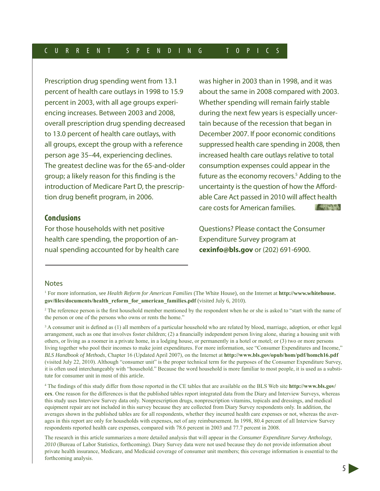Prescription drug spending went from 13.1 percent of health care outlays in 1998 to 15.9 percent in 2003, with all age groups experiencing increases. Between 2003 and 2008, overall prescription drug spending decreased to 13.0 percent of health care outlays, with all groups, except the group with a reference person age 35–44, experiencing declines. The greatest decline was for the 65-and-older group; a likely reason for this finding is the introduction of Medicare Part D, the prescription drug benefit program, in 2006.

#### **Conclusions**

For those households with net positive health care spending, the proportion of annual spending accounted for by health care was higher in 2003 than in 1998, and it was about the same in 2008 compared with 2003. Whether spending will remain fairly stable during the next few years is especially uncertain because of the recession that began in December 2007. If poor economic conditions suppressed health care spending in 2008, then increased health care outlays relative to total consumption expenses could appear in the future as the economy recovers.<sup>5</sup> Adding to the uncertainty is the question of how the Affordable Care Act passed in 2010 will affect health care costs for American families. **ALLEY DIES** 

Questions? Please contact the Consumer Expenditure Survey program at **cexinfo@bls.gov** or (202) 691-6900.

#### **Notes**

1 For more information, see *Health Reform for American Families* (The White House), on the Internet at **http://www.whitehouse. gov/files/documents/health\_reform\_for\_american\_families.pdf** (visited July 6, 2010).

<sup>2</sup> The reference person is the first household member mentioned by the respondent when he or she is asked to "start with the name of the person or one of the persons who owns or rents the home."

<sup>3</sup> A consumer unit is defined as (1) all members of a particular household who are related by blood, marriage, adoption, or other legal arrangement, such as one that involves foster children; (2) a financially independent person living alone, sharing a housing unit with others, or living as a roomer in a private home, in a lodging house, or permanently in a hotel or motel; or (3) two or more persons living together who pool their incomes to make joint expenditures. For more information, see "Consumer Expenditures and Income," *BLS Handbook of Methods*, Chapter 16 (Updated April 2007), on the Internet at **http://www.bls.gov/opub/hom/pdf/homch16.pdf** (visited July 22, 2010). Although "consumer unit" is the proper technical term for the purposes of the Consumer Expenditure Survey, it is often used interchangeably with "household." Because the word household is more familiar to most people, it is used as a substitute for consumer unit in most of this article.

4 The findings of this study differ from those reported in the CE tables that are available on the BLS Web site **http://www.bls.gov/ cex**. One reason for the differences is that the published tables report integrated data from the Diary and Interview Surveys, whereas this study uses Interview Survey data only. Nonprescription drugs, nonprescription vitamins, topicals and dressings, and medical equipment repair are not included in this survey because they are collected from Diary Survey respondents only. In addition, the averages shown in the published tables are for all respondents, whether they incurred health care expenses or not, whereas the averages in this report are only for households with expenses, net of any reimbursement. In 1998, 80.4 percent of all Interview Survey respondents reported health care expenses, compared with 78.6 percent in 2003 and 77.7 percent in 2008.

The research in this article summarizes a more detailed analysis that will appear in the *Consumer Expenditure Survey Anthology, 2010* (Bureau of Labor Statistics, forthcoming). Diary Survey data were not used because they do not provide information about private health insurance, Medicare, and Medicaid coverage of consumer unit members; this coverage information is essential to the forthcoming analysis.